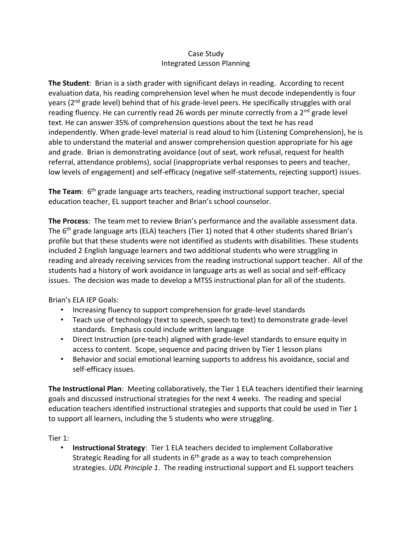## Case Study Integrated Lesson Planning

**The Student**: Brian is a sixth grader with significant delays in reading. According to recent evaluation data, his reading comprehension level when he must decode independently is four years (2<sup>nd</sup> grade level) behind that of his grade-level peers. He specifically struggles with oral reading fluency. He can currently read 26 words per minute correctly from a 2<sup>nd</sup> grade level text. He can answer 35% of comprehension questions about the text he has read independently. When grade-level material is read aloud to him (Listening Comprehension), he is able to understand the material and answer comprehension question appropriate for his age and grade. Brian is demonstrating avoidance (out of seat, work refusal, request for health referral, attendance problems), social (inappropriate verbal responses to peers and teacher, low levels of engagement) and self-efficacy (negative self-statements, rejecting support) issues.

The Team: 6<sup>th</sup> grade language arts teachers, reading instructional support teacher, special education teacher, EL support teacher and Brian's school counselor.

**The Process**: The team met to review Brian's performance and the available assessment data. The 6<sup>th</sup> grade language arts (ELA) teachers (Tier 1) noted that 4 other students shared Brian's profile but that these students were not identified as students with disabilities. These students included 2 English language learners and two additional students who were struggling in reading and already receiving services from the reading instructional support teacher. All of the students had a history of work avoidance in language arts as well as social and self-efficacy issues. The decision was made to develop a MTSS instructional plan for all of the students.

Brian's ELA IEP Goals:

- Increasing fluency to support comprehension for grade-level standards
- Teach use of technology (text to speech, speech to text) to demonstrate grade-level standards. Emphasis could include written language
- Direct Instruction (pre-teach) aligned with grade-level standards to ensure equity in access to content. Scope, sequence and pacing driven by Tier 1 lesson plans
- Behavior and social emotional learning supports to address his avoidance, social and self-efficacy issues.

**The Instructional Plan**: Meeting collaboratively, the Tier 1 ELA teachers identified their learning goals and discussed instructional strategies for the next 4 weeks. The reading and special education teachers identified instructional strategies and supports that could be used in Tier 1 to support all learners, including the 5 students who were struggling.

Tier 1:

• **Instructional Strategy**: Tier 1 ELA teachers decided to implement Collaborative Strategic Reading for all students in  $6<sup>th</sup>$  grade as a way to teach comprehension strategies. *UDL Principle 1*. The reading instructional support and EL support teachers